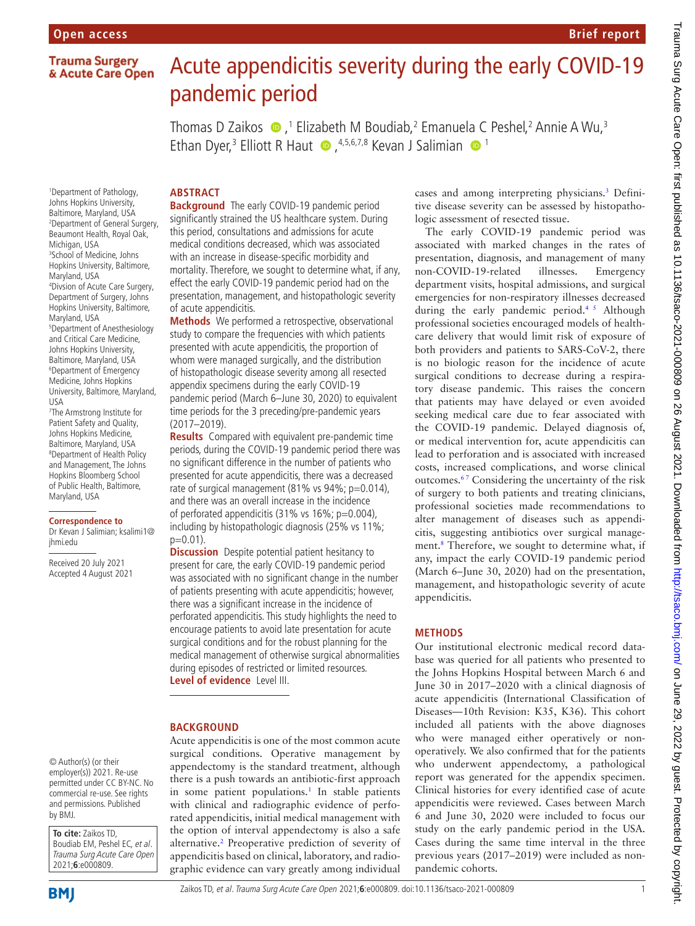# **Trauma Surgery** & Acute Care Open

# Acute appendicitis severity during the early COVID-19 pandemic period

Thomas D Zaikos (D, 1 Elizabeth M Boudiab, 2 Emanuela C Peshel, 2 Annie A Wu, 3 EthanDyer,<sup>3</sup> Elliott R Haut  $\bullet$ , <sup>4,5,6,7,8</sup> Kevan J Salimian  $\bullet$ <sup>1</sup>

# **ABSTRACT**

**Background** The early COVID-19 pandemic period significantly strained the US healthcare system. During this period, consultations and admissions for acute medical conditions decreased, which was associated with an increase in disease-specific morbidity and mortality. Therefore, we sought to determine what, if any, effect the early COVID-19 pandemic period had on the presentation, management, and histopathologic severity of acute appendicitis.

**Methods** We performed a retrospective, observational study to compare the frequencies with which patients presented with acute appendicitis, the proportion of whom were managed surgically, and the distribution of histopathologic disease severity among all resected appendix specimens during the early COVID-19 pandemic period (March 6–June 30, 2020) to equivalent time periods for the 3 preceding/pre-pandemic years (2017–2019).

**Results** Compared with equivalent pre-pandemic time periods, during the COVID-19 pandemic period there was no significant difference in the number of patients who presented for acute appendicitis, there was a decreased rate of surgical management (81% vs 94%; p=0.014), and there was an overall increase in the incidence of perforated appendicitis (31% vs 16%; p=0.004), including by histopathologic diagnosis (25% vs 11%;  $p=0.01$ ).

**Discussion** Despite potential patient hesitancy to present for care, the early COVID-19 pandemic period was associated with no significant change in the number of patients presenting with acute appendicitis; however, there was a significant increase in the incidence of perforated appendicitis. This study highlights the need to encourage patients to avoid late presentation for acute surgical conditions and for the robust planning for the medical management of otherwise surgical abnormalities during episodes of restricted or limited resources. **Level of evidence** Level III.

## **BACKGROUND**

Acute appendicitis is one of the most common acute surgical conditions. Operative management by appendectomy is the standard treatment, although there is a push towards an antibiotic-first approach in some patient populations.<sup>1</sup> In stable patients with clinical and radiographic evidence of perforated appendicitis, initial medical management with the option of interval appendectomy is also a safe alternative.<sup>[2](#page-3-0)</sup> Preoperative prediction of severity of appendicitis based on clinical, laboratory, and radiographic evidence can vary greatly among individual

cases and among interpreting physicians[.3](#page-3-1) Definitive disease severity can be assessed by histopathologic assessment of resected tissue.

**Brief report**

The early COVID-19 pandemic period was associated with marked changes in the rates of presentation, diagnosis, and management of many non-COVID-19-related illnesses. Emergency department visits, hospital admissions, and surgical emergencies for non-respiratory illnesses decreased during the early pandemic period.<sup>45</sup> Although professional societies encouraged models of healthcare delivery that would limit risk of exposure of both providers and patients to SARS-CoV-2, there is no biologic reason for the incidence of acute surgical conditions to decrease during a respiratory disease pandemic. This raises the concern that patients may have delayed or even avoided seeking medical care due to fear associated with the COVID-19 pandemic. Delayed diagnosis of, or medical intervention for, acute appendicitis can lead to perforation and is associated with increased costs, increased complications, and worse clinical outcomes.<sup>67</sup> Considering the uncertainty of the risk of surgery to both patients and treating clinicians, professional societies made recommendations to alter management of diseases such as appendicitis, suggesting antibiotics over surgical manage-ment.<sup>[8](#page-3-4)</sup> Therefore, we sought to determine what, if any, impact the early COVID-19 pandemic period (March 6–June 30, 2020) had on the presentation, management, and histopathologic severity of acute appendicitis.

## **METHODS**

Our institutional electronic medical record database was queried for all patients who presented to the Johns Hopkins Hospital between March 6 and June 30 in 2017–2020 with a clinical diagnosis of acute appendicitis (International Classification of Diseases—10th Revision: K35, K36). This cohort included all patients with the above diagnoses who were managed either operatively or nonoperatively. We also confirmed that for the patients who underwent appendectomy, a pathological report was generated for the appendix specimen. Clinical histories for every identified case of acute appendicitis were reviewed. Cases between March 6 and June 30, 2020 were included to focus our study on the early pandemic period in the USA. Cases during the same time interval in the three previous years (2017–2019) were included as nonpandemic cohorts.

1 Department of Pathology, Johns Hopkins University, Baltimore, Maryland, USA 2 Department of General Surgery, Beaumont Health, Royal Oak, Michigan, USA 3 School of Medicine, Johns Hopkins University, Baltimore, Maryland, USA 4 Divsion of Acute Care Surgery, Department of Surgery, Johns Hopkins University, Baltimore, Maryland, USA 5 Department of Anesthesiology and Critical Care Medicine, Johns Hopkins University, Baltimore, Maryland, USA 6 Department of Emergency Medicine, Johns Hopkins University, Baltimore, Maryland, USA 7 The Armstrong Institute for

Patient Safety and Quality, Johns Hopkins Medicine, Baltimore, Maryland, USA 8 Department of Health Policy and Management, The Johns Hopkins Bloomberg School of Public Health, Baltimore, Maryland, USA

#### **Correspondence to**

Dr Kevan J Salimian; ksalimi1@ jhmi.edu

Received 20 July 2021 Accepted 4 August 2021



**To cite:** Zaikos TD, Boudiab EM, Peshel EC, et al. Trauma Surg Acute Care Open 2021;**6**:e000809.

**BMI**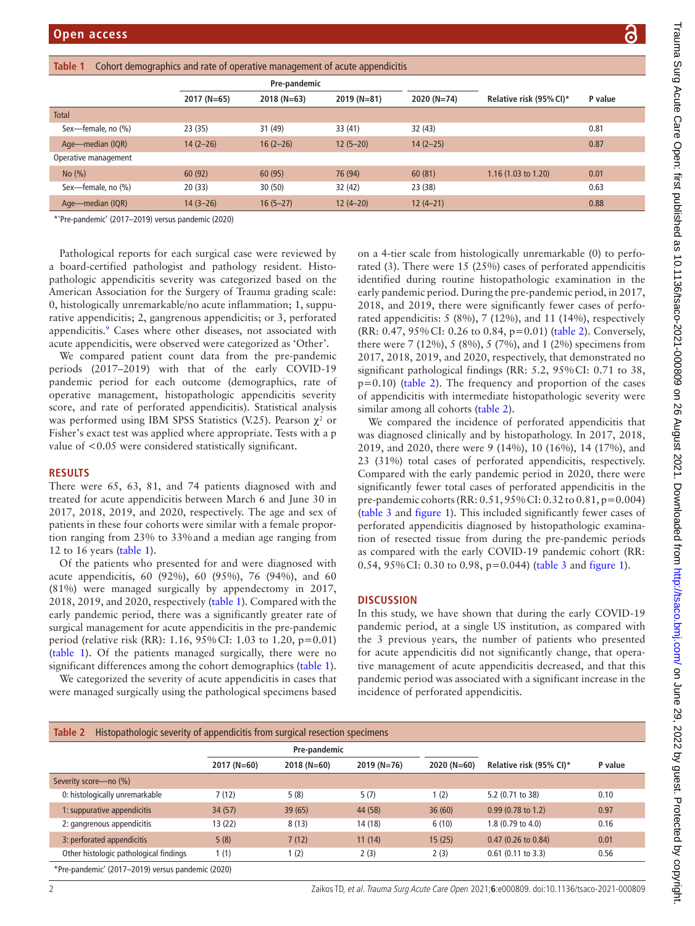| דיים וייים אין די                                                                            |
|----------------------------------------------------------------------------------------------|
|                                                                                              |
| ֖֖֖֧֧֧֧֧֧֧֧֧֖֧֧֧֧֧֧֪֧֖֧֧֖֧֧֪֧֛֪֧֚֚֚֚֚֚֚֚֚֚֚֚֚֚֚֚֚֚֚֚֚֚֚֚֚֚֡֝֓֝֬֝֓֝֬֝֓֓֝֬֓֝֬֝֓֝֬֝֬֝֬֝֬֝֬֝֬֝֬֝ |
|                                                                                              |
|                                                                                              |
|                                                                                              |
|                                                                                              |
|                                                                                              |
|                                                                                              |
|                                                                                              |
| ļ                                                                                            |
|                                                                                              |
|                                                                                              |
|                                                                                              |
|                                                                                              |
|                                                                                              |
|                                                                                              |
| ı                                                                                            |
|                                                                                              |
|                                                                                              |
|                                                                                              |
|                                                                                              |
|                                                                                              |
|                                                                                              |
|                                                                                              |
|                                                                                              |
|                                                                                              |
|                                                                                              |
|                                                                                              |
| $\frac{2}{1}$                                                                                |
|                                                                                              |
|                                                                                              |
|                                                                                              |
|                                                                                              |
|                                                                                              |
|                                                                                              |
|                                                                                              |
|                                                                                              |
|                                                                                              |
|                                                                                              |
|                                                                                              |
|                                                                                              |
|                                                                                              |
|                                                                                              |
|                                                                                              |
|                                                                                              |
|                                                                                              |
|                                                                                              |
|                                                                                              |
| ) ) ) ) ) ) ) ;                                                                              |
|                                                                                              |
|                                                                                              |

<span id="page-1-0"></span>

| Cohort demographics and rate of operative management of acute appendicitis<br>Table 1 |               |               |               |               |                         |         |  |
|---------------------------------------------------------------------------------------|---------------|---------------|---------------|---------------|-------------------------|---------|--|
|                                                                                       | Pre-pandemic  |               |               |               |                         |         |  |
|                                                                                       | $2017 (N=65)$ | $2018 (N=63)$ | $2019 (N=81)$ | $2020 (N=74)$ | Relative risk (95% CI)* | P value |  |
| <b>Total</b>                                                                          |               |               |               |               |                         |         |  |
| Sex-female, no (%)                                                                    | 23(35)        | 31 (49)       | 33 (41)       | 32 (43)       |                         | 0.81    |  |
| Age-median (IQR)                                                                      | $14(2-26)$    | $16(2-26)$    | $12(5-20)$    | $14(2-25)$    |                         | 0.87    |  |
| Operative management                                                                  |               |               |               |               |                         |         |  |
| No(%)                                                                                 | 60(92)        | 60(95)        | 76 (94)       | 60(81)        | 1.16 (1.03 to 1.20)     | 0.01    |  |
| Sex-female, no (%)                                                                    | 20(33)        | 30(50)        | 32 (42)       | 23(38)        |                         | 0.63    |  |
| Age-median (IQR)                                                                      | $14(3-26)$    | $16(5-27)$    | $12(4-20)$    | $12(4-21)$    |                         | 0.88    |  |
| *'Pre-pandemic' (2017–2019) versus pandemic (2020)                                    |               |               |               |               |                         |         |  |

\*'Pre-pandemic' (2017–2019) versus pandemic (2020)

Pathological reports for each surgical case were reviewed by a board-certified pathologist and pathology resident. Histopathologic appendicitis severity was categorized based on the American Association for the Surgery of Trauma grading scale: 0, histologically unremarkable/no acute inflammation; 1, suppurative appendicitis; 2, gangrenous appendicitis; or 3, perforated appendicitis.<sup>[9](#page-3-5)</sup> Cases where other diseases, not associated with acute appendicitis, were observed were categorized as 'Other'.

We compared patient count data from the pre-pandemic periods (2017–2019) with that of the early COVID-19 pandemic period for each outcome (demographics, rate of operative management, histopathologic appendicitis severity score, and rate of perforated appendicitis). Statistical analysis was performed using IBM SPSS Statistics (V.25). Pearson  $\chi^2$  or Fisher's exact test was applied where appropriate. Tests with a p value of <0.05 were considered statistically significant.

## **RESULTS**

There were 65, 63, 81, and 74 patients diagnosed with and treated for acute appendicitis between March 6 and June 30 in 2017, 2018, 2019, and 2020, respectively. The age and sex of patients in these four cohorts were similar with a female proportion ranging from 23% to 33%and a median age ranging from 12 to 16 years ([table](#page-1-0) 1).

Of the patients who presented for and were diagnosed with acute appendicitis, 60 (92%), 60 (95%), 76 (94%), and 60 (81%) were managed surgically by appendectomy in 2017, 2018, 2019, and 2020, respectively ([table](#page-1-0) 1). Compared with the early pandemic period, there was a significantly greater rate of surgical management for acute appendicitis in the pre-pandemic period (relative risk (RR): 1.16, 95%CI: 1.03 to 1.20, p=0.01) ([table](#page-1-0) 1). Of the patients managed surgically, there were no significant differences among the cohort demographics [\(table](#page-1-0) 1).

We categorized the severity of acute appendicitis in cases that were managed surgically using the pathological specimens based on a 4-tier scale from histologically unremarkable (0) to perforated (3). There were 15 (25%) cases of perforated appendicitis identified during routine histopathologic examination in the early pandemic period. During the pre-pandemic period, in 2017, 2018, and 2019, there were significantly fewer cases of perforated appendicitis: 5 (8%), 7 (12%), and 11 (14%), respectively (RR: 0.47, 95%CI: 0.26 to 0.84, p=0.01) ([table](#page-1-1) 2). Conversely, there were 7 (12%), 5 (8%), 5 (7%), and 1 (2%) specimens from 2017, 2018, 2019, and 2020, respectively, that demonstrated no significant pathological findings (RR: 5.2, 95%CI: 0.71 to 38,  $p=0.10$ ) [\(table](#page-1-1) 2). The frequency and proportion of the cases of appendicitis with intermediate histopathologic severity were similar among all cohorts ([table](#page-1-1) 2).

We compared the incidence of perforated appendicitis that was diagnosed clinically and by histopathology. In 2017, 2018, 2019, and 2020, there were 9 (14%), 10 (16%), 14 (17%), and 23 (31%) total cases of perforated appendicitis, respectively. Compared with the early pandemic period in 2020, there were significantly fewer total cases of perforated appendicitis in the pre-pandemic cohorts (RR: 0.51, 95%CI: 0.32 to 0.81, p=0.004) ([table](#page-2-0) 3 and [figure](#page-2-1) 1). This included significantly fewer cases of perforated appendicitis diagnosed by histopathologic examination of resected tissue from during the pre-pandemic periods as compared with the early COVID-19 pandemic cohort (RR: 0.54, 95%CI: 0.30 to 0.98, p=0.044) ([table](#page-2-0) 3 and [figure](#page-2-1) 1).

## **DISCUSSION**

In this study, we have shown that during the early COVID-19 pandemic period, at a single US institution, as compared with the 3 previous years, the number of patients who presented for acute appendicitis did not significantly change, that operative management of acute appendicitis decreased, and that this pandemic period was associated with a significant increase in the incidence of perforated appendicitis.

<span id="page-1-1"></span>

| Table 2<br>Histopathologic severity of appendicitis from surgical resection specimens |               |              |               |               |                               |         |
|---------------------------------------------------------------------------------------|---------------|--------------|---------------|---------------|-------------------------------|---------|
|                                                                                       | Pre-pandemic  |              |               |               |                               |         |
|                                                                                       | $2017 (N=60)$ | $2018(N=60)$ | $2019 (N=76)$ | $2020 (N=60)$ | Relative risk (95% CI)*       | P value |
| Severity score-no (%)                                                                 |               |              |               |               |                               |         |
| 0: histologically unremarkable                                                        | 7(12)         | 5(8)         | 5(7)          | (2)           | 5.2 (0.71 to 38)              | 0.10    |
| 1: suppurative appendicitis                                                           | 34(57)        | 39(65)       | 44 (58)       | 36(60)        | $0.99(0.78 \text{ to } 1.2)$  | 0.97    |
| 2: gangrenous appendicitis                                                            | 13(22)        | 8(13)        | 14 (18)       | 6(10)         | 1.8 (0.79 to 4.0)             | 0.16    |
| 3: perforated appendicitis                                                            | 5(8)          | 7(12)        | 11(14)        | 15(25)        | $0.47(0.26 \text{ to } 0.84)$ | 0.01    |
| Other histologic pathological findings                                                | 1(1)          | 1(2)         | 2(3)          | 2(3)          | $0.61$ (0.11 to 3.3)          | 0.56    |
| *Pre-pandemic' (2017-2019) versus pandemic (2020)                                     |               |              |               |               |                               |         |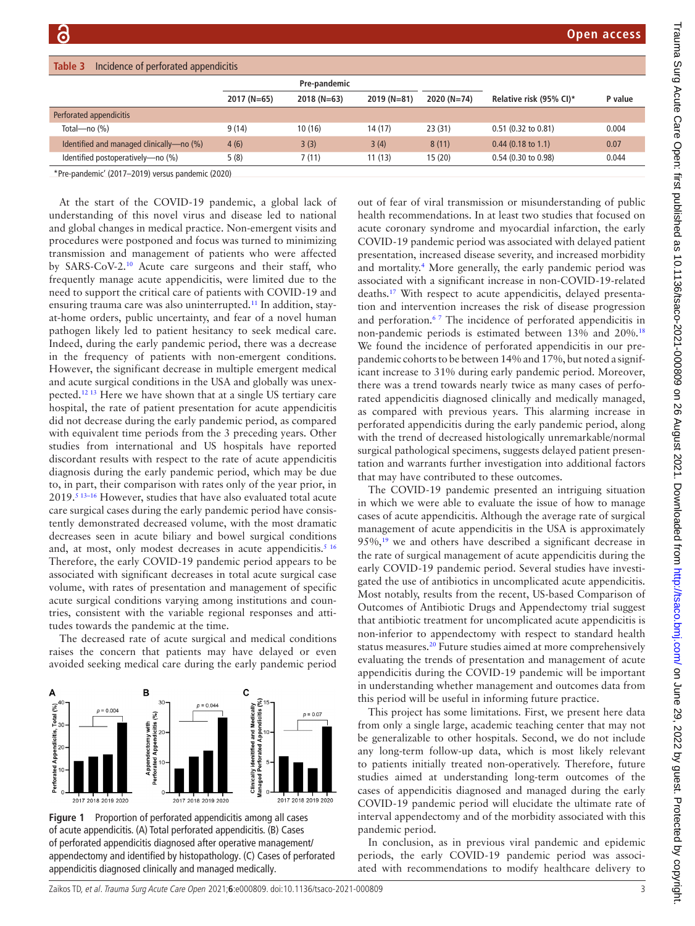<span id="page-2-0"></span>

| Incidence of perforated appendicitis<br>Table 3 |               |              |              |               |                         |         |  |
|-------------------------------------------------|---------------|--------------|--------------|---------------|-------------------------|---------|--|
|                                                 | Pre-pandemic  |              |              |               |                         |         |  |
|                                                 | $2017 (N=65)$ | $2018(N=63)$ | $2019(N=81)$ | $2020 (N=74)$ | Relative risk (95% CI)* | P value |  |
| Perforated appendicitis                         |               |              |              |               |                         |         |  |
| Total-no $(\%)$                                 | 9(14)         | 10(16)       | 14(17)       | 23(31)        | $0.51$ (0.32 to 0.81)   | 0.004   |  |
| Identified and managed clinically—no (%)        | 4(6)          | 3(3)         | 3(4)         | 8(11)         | $0.44$ (0.18 to 1.1)    | 0.07    |  |
| Identified postoperatively-no (%)               | 5(8)          | 7(11)        | 11(13)       | 15(20)        | 0.54 (0.30 to 0.98)     | 0.044   |  |

\*Pre-pandemic' (2017–2019) versus pandemic (2020)

At the start of the COVID-19 pandemic, a global lack of understanding of this novel virus and disease led to national and global changes in medical practice. Non-emergent visits and procedures were postponed and focus was turned to minimizing transmission and management of patients who were affected by SARS-CoV-2[.10](#page-3-6) Acute care surgeons and their staff, who frequently manage acute appendicitis, were limited due to the need to support the critical care of patients with COVID-19 and ensuring trauma care was also uninterrupted.<sup>11</sup> In addition, stayat-home orders, public uncertainty, and fear of a novel human pathogen likely led to patient hesitancy to seek medical care. Indeed, during the early pandemic period, there was a decrease in the frequency of patients with non-emergent conditions. However, the significant decrease in multiple emergent medical and acute surgical conditions in the USA and globally was unexpected.[12 13](#page-3-8) Here we have shown that at a single US tertiary care hospital, the rate of patient presentation for acute appendicitis did not decrease during the early pandemic period, as compared with equivalent time periods from the 3 preceding years. Other studies from international and US hospitals have reported discordant results with respect to the rate of acute appendicitis diagnosis during the early pandemic period, which may be due to, in part, their comparison with rates only of the year prior, in 2019.<sup>5</sup> <sup>13-16</sup> However, studies that have also evaluated total acute care surgical cases during the early pandemic period have consistently demonstrated decreased volume, with the most dramatic decreases seen in acute biliary and bowel surgical conditions and, at most, only modest decreases in acute appendicitis.<sup>5 16</sup> Therefore, the early COVID-19 pandemic period appears to be associated with significant decreases in total acute surgical case volume, with rates of presentation and management of specific acute surgical conditions varying among institutions and countries, consistent with the variable regional responses and attitudes towards the pandemic at the time.

The decreased rate of acute surgical and medical conditions raises the concern that patients may have delayed or even avoided seeking medical care during the early pandemic period



<span id="page-2-1"></span>**Figure 1** Proportion of perforated appendicitis among all cases of acute appendicitis. (A) Total perforated appendicitis. (B) Cases of perforated appendicitis diagnosed after operative management/ appendectomy and identified by histopathology. (C) Cases of perforated appendicitis diagnosed clinically and managed medically.

out of fear of viral transmission or misunderstanding of public health recommendations. In at least two studies that focused on acute coronary syndrome and myocardial infarction, the early COVID-19 pandemic period was associated with delayed patient presentation, increased disease severity, and increased morbidity and mortality.<sup>4</sup> More generally, the early pandemic period was associated with a significant increase in non-COVID-19-related deaths.[17](#page-3-10) With respect to acute appendicitis, delayed presentation and intervention increases the risk of disease progression and perforation.<sup>67</sup> The incidence of perforated appendicitis in non-pandemic periods is estimated between 13% and 20%[.18](#page-3-11) We found the incidence of perforated appendicitis in our prepandemic cohorts to be between 14% and 17%, but noted a significant increase to 31% during early pandemic period. Moreover, there was a trend towards nearly twice as many cases of perforated appendicitis diagnosed clinically and medically managed, as compared with previous years. This alarming increase in perforated appendicitis during the early pandemic period, along with the trend of decreased histologically unremarkable/normal surgical pathological specimens, suggests delayed patient presentation and warrants further investigation into additional factors that may have contributed to these outcomes.

The COVID-19 pandemic presented an intriguing situation in which we were able to evaluate the issue of how to manage cases of acute appendicitis. Although the average rate of surgical management of acute appendicitis in the USA is approximately  $95\%,<sup>19</sup>$  we and others have described a significant decrease in the rate of surgical management of acute appendicitis during the early COVID-19 pandemic period. Several studies have investigated the use of antibiotics in uncomplicated acute appendicitis. Most notably, results from the recent, US-based Comparison of Outcomes of Antibiotic Drugs and Appendectomy trial suggest that antibiotic treatment for uncomplicated acute appendicitis is non-inferior to appendectomy with respect to standard health status measures[.20](#page-3-13) Future studies aimed at more comprehensively evaluating the trends of presentation and management of acute appendicitis during the COVID-19 pandemic will be important in understanding whether management and outcomes data from this period will be useful in informing future practice.

This project has some limitations. First, we present here data from only a single large, academic teaching center that may not be generalizable to other hospitals. Second, we do not include any long-term follow-up data, which is most likely relevant to patients initially treated non-operatively. Therefore, future studies aimed at understanding long-term outcomes of the cases of appendicitis diagnosed and managed during the early COVID-19 pandemic period will elucidate the ultimate rate of interval appendectomy and of the morbidity associated with this pandemic period.

In conclusion, as in previous viral pandemic and epidemic periods, the early COVID-19 pandemic period was associated with recommendations to modify healthcare delivery to